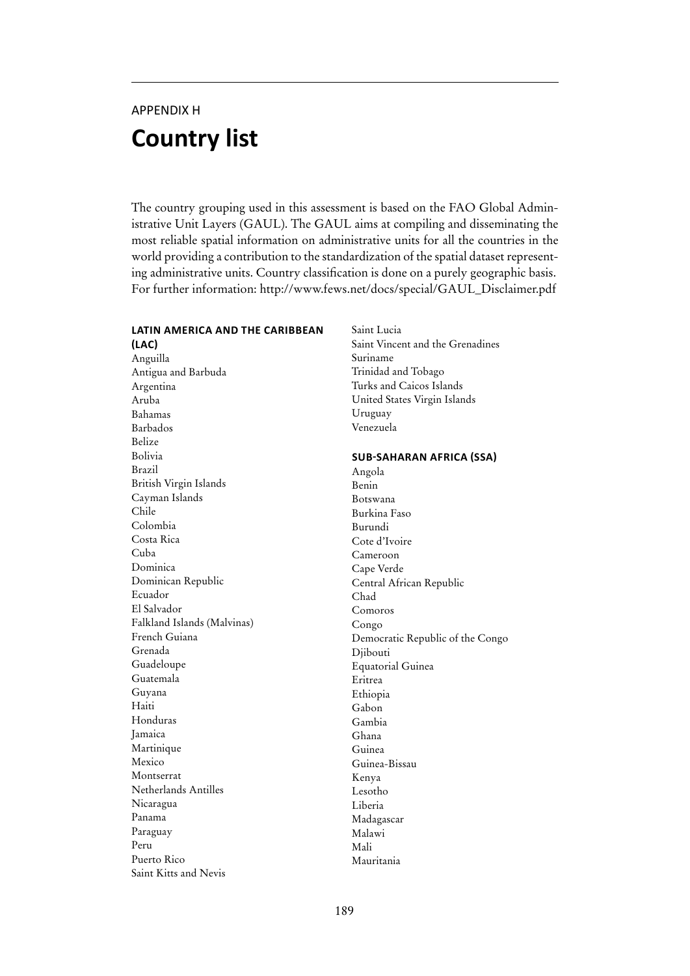# APPENDIX H **Country list**

The country grouping used in this assessment is based on the FAO Global Administrative Unit Layers (GAUL). The GAUL aims at compiling and disseminating the most reliable spatial information on administrative units for all the countries in the world providing a contribution to the standardization of the spatial dataset representing administrative units. Country classification is done on a purely geographic basis. For further information: http://www.fews.net/docs/special/GAUL\_Disclaimer.pdf

## **latin america and the caribbean**

**(LAC)** Anguilla Antigua and Barbuda Argentina Aruba Bahamas Barbados Belize Bolivia Brazil British Virgin Islands Cayman Islands Chile Colombia Costa Rica Cuba Dominica Dominican Republic Ecuador El Salvador Falkland Islands (Malvinas) French Guiana Grenada Guadeloupe Guatemala Guyana Haiti Honduras Jamaica Martinique Mexico Montserrat Netherlands Antilles Nicaragua Panama Paraguay Peru Puerto Rico Saint Kitts and Nevis

Saint Lucia Saint Vincent and the Grenadines Suriname Trinidad and Tobago Turks and Caicos Islands United States Virgin Islands Uruguay Venezuela

## **Sub-Saharan Africa (SSA)**

Angola Benin Botswana Burkina Faso Burundi Cote d'Ivoire Cameroon Cape Verde Central African Republic Chad Comoros Congo Democratic Republic of the Congo Djibouti Equatorial Guinea Eritrea Ethiopia Gabon Gambia Ghana Guinea Guinea-Bissau Kenya Lesotho Liberia Madagascar Malawi Mali Mauritania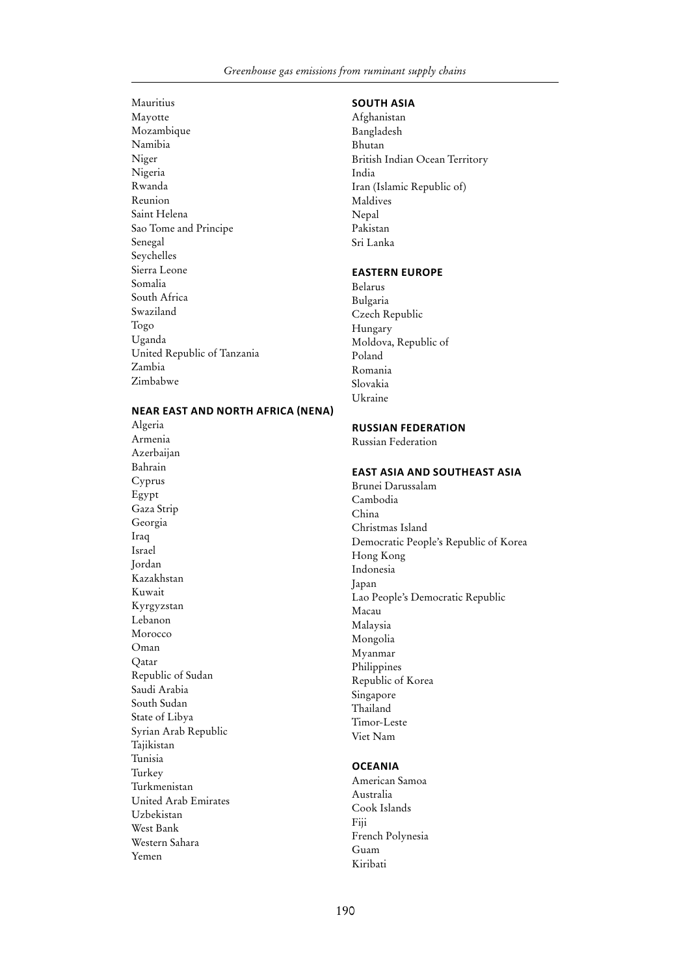Mauritius Mayotte Mozambique Namibia Niger Nigeria Rwanda Reunion Saint Helena Sao Tome and Principe Senegal Seychelles Sierra Leone Somalia South Africa Swaziland Togo Uganda United Republic of Tanzania Zambia Zimbabwe

## **South Asia**

Afghanistan Bangladesh Bhutan British Indian Ocean Territory India Iran (Islamic Republic of) Maldives Nepal Pakistan Sri Lanka

#### **Eastern Europe**

Belarus Bulgaria Czech Republic Hungary Moldova, Republic of Poland Romania Slovakia Ukraine

## **near east and north Africa (NENA)**

Algeria Armenia Azerbaijan Bahrain Cyprus Egypt Gaza Strip Georgia Iraq Israel Jordan **Kazakhstan** Kuwait Kyrgyzstan Lebanon Morocco Oman Qatar Republic of Sudan Saudi Arabia South Sudan State of Libya Syrian Arab Republic Tajikistan Tunisia Turkey Turkmenistan United Arab Emirates Uzbekistan West Bank Western Sahara Yemen

# **Russian Federation**

Russian Federation

## **East Asia and Southeast Asia**

Brunei Darussalam Cambodia China Christmas Island Democratic People's Republic of Korea Hong Kong Indonesia Japan Lao People's Democratic Republic Macau Malaysia Mongolia Myanmar Philippines Republic of Korea Singapore Thailand Timor-Leste Viet Nam

## **Oceania**

American Samoa Australia Cook Islands Fiji French Polynesia Guam Kiribati